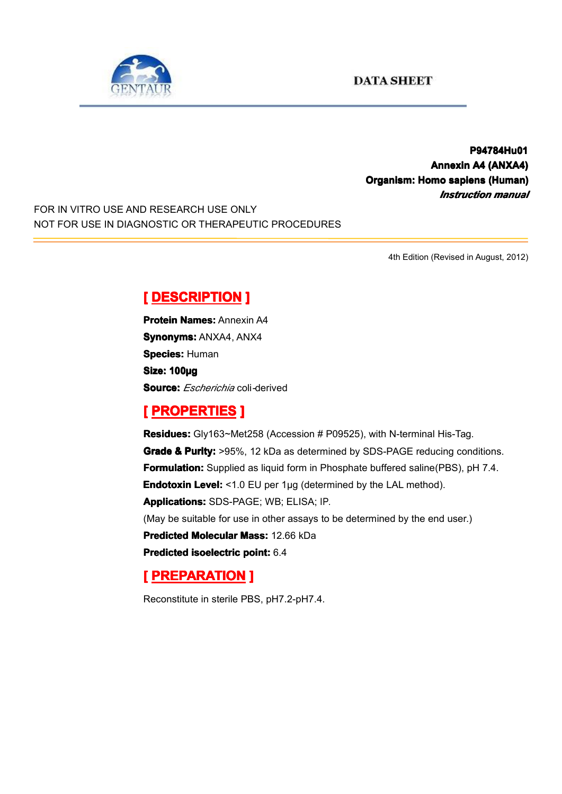

**P94784Hu01 P94784Hu01 Annexin A4 (ANXA4) Organism: Homo sapiens (Human) (Human)** *Instruction manual*

FOR IN VITRO USE AND RESEARCH USE ONLY NOT FOR USE IN DIAGNOSTIC OR THERAPEUTIC PROCEDURES

4th Edition (Revised in August, 2012)

# $[$  **DESCRIPTION** ]

**Protein Names: Annexin A4 Synonyms: ANXA4, ANX4 Species: Human Size: 100µg Source:** *Escherichia* coli*-*derived

#### **[ PROPERTIES ROPERTIES ROPERTIES]**

**Residues:** Gly163~Met258 (Accession # P09525), with N-terminal His-Tag. **Grade & Purity:** >95%, 12 kDa as determined by SDS-PAGE reducing conditions. **Formulation:** Supplied as liquid form in Phosphate buffered saline(PBS), pH 7.4. **Endotoxin Level:** <1.0 EU per 1µg (determined by the LAL method). **Applications: Applications:**SDS-PAGE; WB; ELISA; IP. (May be suitable for use in other assays to be determined by the end user.) **Predicted Molecular Mass: 12.66 kDa Predicted [isoelectric](app:ds:  isoelectric point) isoelectric point:** 6.4

## **[ PREPARATION PREPARATION PREPARATION]**

Reconstitute in sterile PBS, pH7.2-pH7.4.